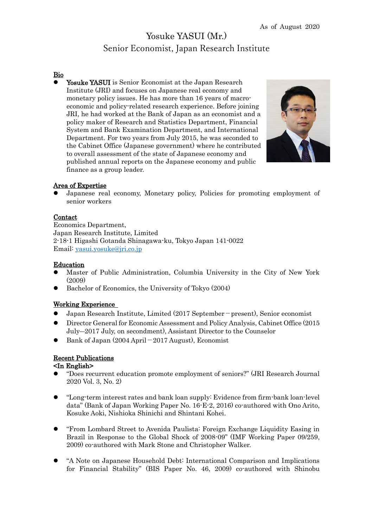## Yosuke YASUI (Mr.) Senior Economist, Japan Research Institute

### Bio

Yosuke YASUI is Senior Economist at the Japan Research Institute (JRI) and focuses on Japanese real economy and monetary policy issues. He has more than 16 years of macroeconomic and policy-related research experience. Before joining JRI, he had worked at the Bank of Japan as an economist and a policy maker of Research and Statistics Department, Financial System and Bank Examination Department, and International Department. For two years from July 2015, he was seconded to the Cabinet Office (Japanese government) where he contributed to overall assessment of the state of Japanese economy and published annual reports on the Japanese economy and public finance as a group leader.



## Area of Expertise

⚫ Japanese real economy, Monetary policy, Policies for promoting employment of senior workers

#### **Contact**

Economics Department, Japan Research Institute, Limited 2-18-1 Higashi Gotanda Shinagawa-ku, Tokyo Japan 141-0022 Email: [yasui.yosuke@jri.co.jp](mailto:yasui.yosuke@jri.co.jp)

### Education

- ⚫ Master of Public Administration, Columbia University in the City of New York (2009)
- ⚫ Bachelor of Economics, the University of Tokyo (2004)

## Working Experience

- ⚫ Japan Research Institute, Limited (2017 September-present), Senior economist
- ⚫ Director General for Economic Assessment and Policy Analysis, Cabinet Office (2015 July―2017 July, on secondment), Assistant Director to the Counselor
- ⚫ Bank of Japan (2004 April-2017 August), Economist

### Recent Publications

### <In English>

- ⚫ "Does recurrent education promote employment of seniors?" (JRI Research Journal 2020 Vol. 3, No. 2)
- ⚫ "Long-term interest rates and bank loan supply: Evidence from firm-bank loan-level data" (Bank of Japan Working Paper No. 16-E-2, 2016) co-authored with Ono Arito, Kosuke Aoki, Nishioka Shinichi and Shintani Kohei.
- ⚫ "From Lombard Street to Avenida Paulista: Foreign Exchange Liquidity Easing in Brazil in Response to the Global Shock of 2008-09" (IMF Working Paper 09/259, 2009) co-authored with Mark Stone and Christopher Walker.
- ⚫ "A Note on Japanese Household Debt: International Comparison and Implications for Financial Stability" (BIS Paper No. 46, 2009) co-authored with Shinobu